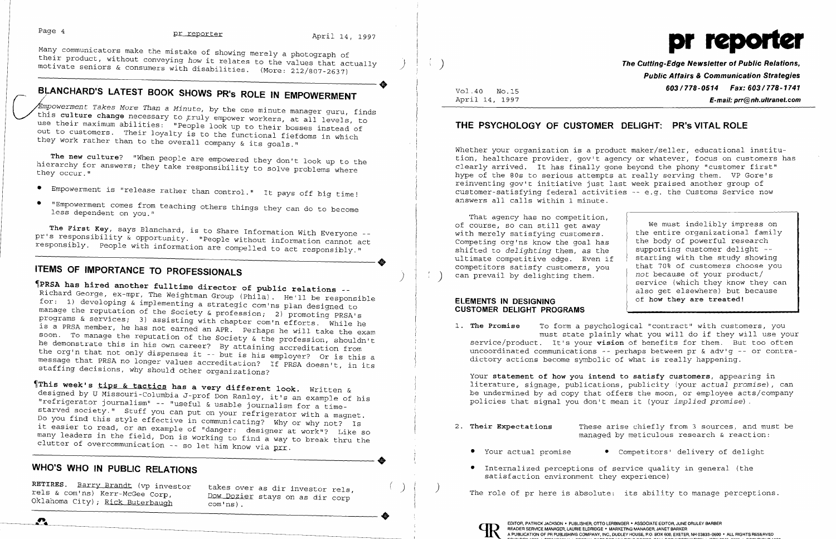their product, without conveying *how* it relates to the values that actually (the values of the values of the values that actually the convergence of *Public Relations*, the consumers with disabilities. (More: 212/807-263 motivate seniors & consumers with disabilities. (More: 212/807-2637)



 $\left(\begin{array}{c} \lambda \end{array}\right)$  ) is a constrained to the Cutting-Edge Newsletter of Public Relations,  $\rho$  and  $\rho$  and  $\rho$  and  $\rho$  and  $\rho$  and  $\rho$  and  $\rho$  and  $\rho$  and  $\rho$  and  $\rho$  and  $\rho$  and  $\rho$  and  $\rho$  and  $\rho$  and  $\rho$ 603/778-0514 Fax: 603/778-1741 E-mail: prr@nh.ultranet.com

BLANCHARD'S LATEST BOOK SHOWS PR'S ROLE IN EMPOWERMENT<br>Empowerment Takes More Than a Minute, by the one minute manager guru, f<br>this culture change necessary to truly empower workers, at all laws in *mpowerment Takes More Than* a *Minute/* by the one minute manager guru, finds this culture change necessary to truly empower workers, at all levels, to use their maximum abilities: "People look up to their bosses instead of **THE PSYCHOLOGY OF CUSTOMER DELIGHT: PR's VITAL ROLE** out to customers. Their loyalty is to the functional fiefdoms in which they work rather than to the overall company & its goals."

hierarchy for answers; they take responsibility to solve problems where they occur."

Vol.40 NO.IS April 14, 1997

Whether your organization is a product maker/seller, educational institu-<br>tion, healthcare provider, gov't agency or whatever, focus on customers has The new culture? "When people are empowered they don't look up to the tion, healthcare provider, gov't agency or whatever, focus on customers (and the phony state of the tion) of the tion, healthcare provider, gov't agency hype of the 80s to serious attempts at really serving them. VP Gore's reinventing gov't initiative just last week praised another group of answers all calls within 1 minute. customer-satisfying federal activities -- e.g. the Customs Service now

- Empowerment is "release rather than control." It pays off big time!
- "Empowerment comes from teaching others things they can do to become less dependent on you." That agency has no competition,

The First Key, says Blanchard, is to Share Information With Everyone -- That agency has no competition,<br>The First Key, says Blanchard, is to Share Information With Everyone -- of course, so can still get away<br>Sponsibly a c pris responsibly. People with information are compelled to act responsibly." Supportunity organization one goal has responsible view the goal has responsibly. People with information are compelled to act responsibly." Shif pr's responsibility & opportunity. "People without information cannot act

## ITEMS OF IMPORTANCE TO PROFESSIONALS

PRSA has hired another fulltime director of public relations --<br>Richard George, ex-mpr, The Weightman Group (Phila). He'll be responsible Richard George, ex-mpr, The Weightman Group (Phila). He'll be responsible **ELEMENTS IN DESIGNING**<br>for: 1) developing & implementing a strategic com'ns plan designed to **ELEMENTS IN DESIGNING**<br>manage the reputation of the S manage the reputation of the Society & profession; 2) promoting PRSA's programs & services; 3) assisting with chapter com'n efforts. While he 1. The Promis a services, spassibility with chapter com'n efforts. While he array is a promise to form a psychological "contract" with customers, you is a PRSA member, he has not earned an APR. Perhaps he will take the exa must state plainly what you will do it they will do a the reputation of the Society & the profession, shouldn't<br>he demonstrate this in his own career? By attaining accreditation from<br>the org'n that not only dispenses it --

ultimate competitive edge. Even if competitors satisfy customers, you<br>can prevail by delighting them.

staffing decisions, why should other organizations? Your statement of how you intend to satisfy customers, appearing in This week's tips & tactics has a very different look. Written &<br>designed by U Missouri-Columbia I-prof Dop Paples (i) *Written &* (i) be undermined by ad copy that offers the moon, or employee acts/company

designed by U Missouri-Columbia J-prof Don Ranley, it's an example of his and the modermined by ad copy that offers the moon, or employee acts<br>Mesigned by U Missouri-Columbia J-prof Don Ranley, it's an example of his and t policies that signal you hissouri-Columbia J-prof Don Ranley, it's an example of his and the mean indermined by ad Copy that offers the moon, of employee act<br>"refrigerator journalism" -- "useful & usable journalism for a t starved society." Stuff you can put on your refrigerator with a magnet. Do you find this style effective in communicating? Why or why not? Is 2. The same was separated the communicating? Why or why not? Is<br>it easier to read, or an example of "danger: designer at work"? Like so all their Expectations These arise chiefly from 3 sources, and must be it and the fiel many leaders in the field, Don is working to find a way to break thru the clutter of overcommunication -- so let him know via prr.<br>
• Your actual promise • Competitors' delivery of delight --------------------------------clutter of overcommunication -- so let him know via prr.

### WHO'S WHO IN PUBLIC RELATIONS **EXECUTE:** The internalized perceptions of service quality in general (the

RETIRES. <u>Barry Brandt</u> (vp investor takes over as dir investor rels,  $\left(\begin{array}{c} \end{array}\right)$  ) The role of pr here is absolute: its ability to manage perceptions.<br>rels & com'ns) Kerr-McGee Corp, Dow Dozier stays on as dir corp

 $\bullet$ 

We must indelibly impress on the entire organizational family the body of powerful research supporting customer delight -starting with the study showing that 70% of customers choose you *not* because of your product/ service (which they know they can also get elsewhere) but because of how they are treated!

- -
	- satisfaction environment they experience)